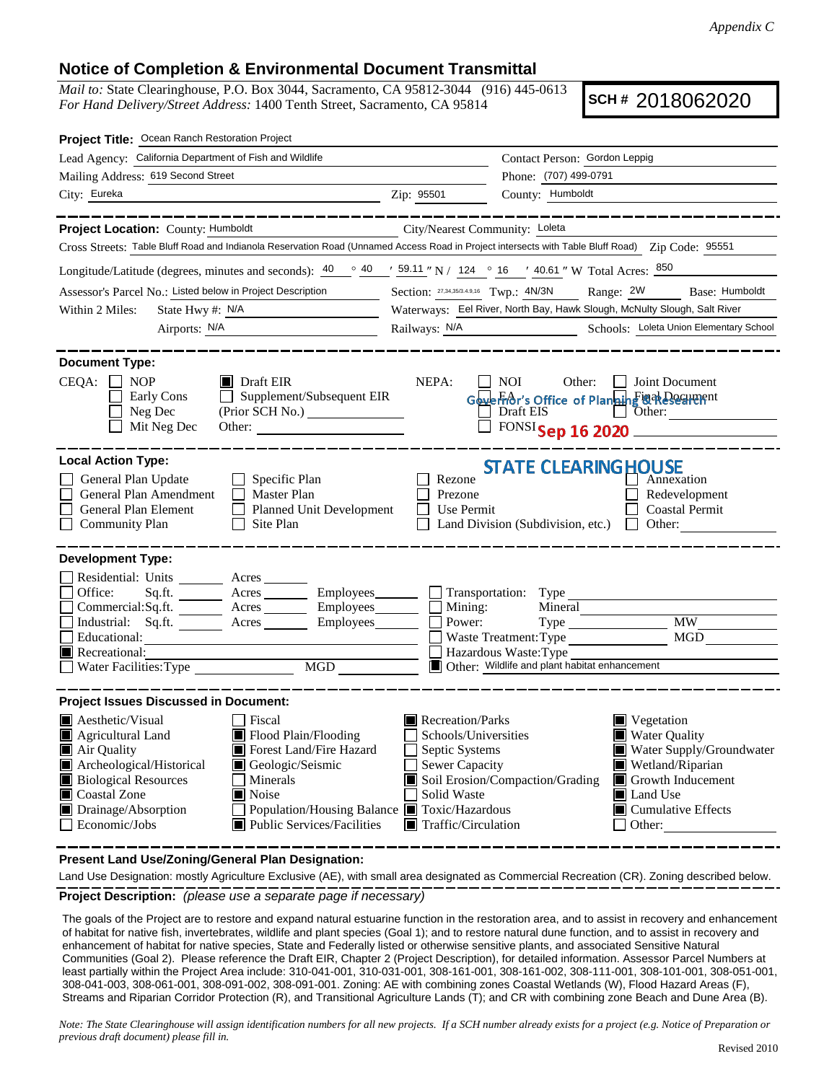## **Notice of Completion & Environmental Document Transmittal**

*Mail to:* State Clearinghouse, P.O. Box 3044, Sacramento, CA 95812-3044 (916) 445-0613 *For Hand Delivery/Street Address:* 1400 Tenth Street, Sacramento, CA 95814

**SCH #** 2018062020

| Project Title: Ocean Ranch Restoration Project                                                                                                                                                                                                                                     |                                                                                                 |                                                                                                   |                                                 |                                                      |  |  |
|------------------------------------------------------------------------------------------------------------------------------------------------------------------------------------------------------------------------------------------------------------------------------------|-------------------------------------------------------------------------------------------------|---------------------------------------------------------------------------------------------------|-------------------------------------------------|------------------------------------------------------|--|--|
| Lead Agency: California Department of Fish and Wildlife                                                                                                                                                                                                                            |                                                                                                 | Contact Person: Gordon Leppig                                                                     |                                                 |                                                      |  |  |
| Mailing Address: 619 Second Street                                                                                                                                                                                                                                                 |                                                                                                 |                                                                                                   | Phone: (707) 499-0791                           |                                                      |  |  |
| City: Eureka                                                                                                                                                                                                                                                                       |                                                                                                 | Zip: 95501                                                                                        | County: Humboldt                                |                                                      |  |  |
|                                                                                                                                                                                                                                                                                    |                                                                                                 |                                                                                                   |                                                 |                                                      |  |  |
| Project Location: County: Humboldt                                                                                                                                                                                                                                                 |                                                                                                 | City/Nearest Community: Loleta                                                                    |                                                 |                                                      |  |  |
| Cross Streets: Table Bluff Road and Indianola Reservation Road (Unnamed Access Road in Project intersects with Table Bluff Road) Zip Code: 95551                                                                                                                                   |                                                                                                 |                                                                                                   |                                                 |                                                      |  |  |
| Longitude/Latitude (degrees, minutes and seconds): $\frac{40}{9}$ $\frac{40}{9}$ $\frac{159.11}{9}$ N / 124 $\degree$ 16 $\degree$ 40.61 "W Total Acres: $\frac{850}{9}$                                                                                                           |                                                                                                 |                                                                                                   |                                                 |                                                      |  |  |
| Assessor's Parcel No.: Listed below in Project Description                                                                                                                                                                                                                         |                                                                                                 | Section: 27,34,35/3.4.9,16 Twp.: 4N/3N<br>Range: 2W Base: Humboldt                                |                                                 |                                                      |  |  |
| State Hwy #: N/A<br><u> 1990 - Johann Barbara, martin a</u><br>Within 2 Miles:                                                                                                                                                                                                     |                                                                                                 | Waterways: Eel River, North Bay, Hawk Slough, McNulty Slough, Salt River                          |                                                 |                                                      |  |  |
| Airports: N/A                                                                                                                                                                                                                                                                      |                                                                                                 | Railways: N/A<br>Schools: Loleta Union Elementary School                                          |                                                 |                                                      |  |  |
| <b>Document Type:</b>                                                                                                                                                                                                                                                              |                                                                                                 |                                                                                                   |                                                 |                                                      |  |  |
| $CEQA: \Box NP$<br>$\blacksquare$ Draft EIR<br>NEPA:<br>  NOI<br>Other: <b>Joint Document</b><br>$\Box$ Supplement/Subsequent EIR<br>Early Cons<br>Goverfor's Office of Planning @ak Dechenent<br>Neg Dec<br>Draft EIS Other:<br>Mit Neg Dec<br>$\Box$ FONSI Sep 16 2020<br>Other: |                                                                                                 |                                                                                                   |                                                 |                                                      |  |  |
| <b>Local Action Type:</b><br><b>STATE CLEARING HOUSE</b>                                                                                                                                                                                                                           |                                                                                                 |                                                                                                   |                                                 |                                                      |  |  |
| General Plan Update<br>General Plan Amendment<br>General Plan Element<br><b>Community Plan</b>                                                                                                                                                                                     | $\Box$ Specific Plan<br>Master Plan<br>$\Box$<br><b>Planned Unit Development</b><br>  Site Plan | Rezone<br>Prezone<br>Use Permit                                                                   | Land Division (Subdivision, etc.) $\Box$ Other: | Annexation<br>Redevelopment<br><b>Coastal Permit</b> |  |  |
| <b>Development Type:</b>                                                                                                                                                                                                                                                           |                                                                                                 |                                                                                                   |                                                 |                                                      |  |  |
| Residential: Units ________ Acres _______                                                                                                                                                                                                                                          |                                                                                                 |                                                                                                   |                                                 |                                                      |  |  |
| Office:                                                                                                                                                                                                                                                                            | Sq.ft. ________ Acres _________ Employees________ __ Transportation: Type                       |                                                                                                   |                                                 |                                                      |  |  |
|                                                                                                                                                                                                                                                                                    | Commercial:Sq.ft. ________ Acres _________ Employees_______                                     | $\blacksquare$ Mining:<br>Power:                                                                  | Mineral                                         | <b>MW</b>                                            |  |  |
| Educational:                                                                                                                                                                                                                                                                       | Industrial: Sq.ft. Acres Employees                                                              |                                                                                                   | Waste Treatment: Type                           | MGD                                                  |  |  |
| Recreational:                                                                                                                                                                                                                                                                      |                                                                                                 |                                                                                                   | Hazardous Waste: Type                           |                                                      |  |  |
| MGD                                                                                                                                                                                                                                                                                |                                                                                                 | Other: Wildlife and plant habitat enhancement                                                     |                                                 |                                                      |  |  |
|                                                                                                                                                                                                                                                                                    |                                                                                                 |                                                                                                   |                                                 |                                                      |  |  |
| <b>Project Issues Discussed in Document:</b><br><b>A</b> esthetic/Visual                                                                                                                                                                                                           | Fiscal                                                                                          | Recreation/Parks                                                                                  |                                                 | $\blacksquare$ Vegetation                            |  |  |
| Agricultural Land                                                                                                                                                                                                                                                                  | Flood Plain/Flooding                                                                            | Schools/Universities<br><b>Water Quality</b>                                                      |                                                 |                                                      |  |  |
| Air Quality                                                                                                                                                                                                                                                                        | Forest Land/Fire Hazard                                                                         | Water Supply/Groundwater<br>Septic Systems                                                        |                                                 |                                                      |  |  |
| Archeological/Historical<br><b>Biological Resources</b>                                                                                                                                                                                                                            | Geologic/Seismic<br>  Minerals                                                                  | <b>Sewer Capacity</b><br>Wetland/Riparian<br>Soil Erosion/Compaction/Grading<br>Growth Inducement |                                                 |                                                      |  |  |
| Coastal Zone                                                                                                                                                                                                                                                                       | Solid Waste<br>l∎ Noise<br><b>I</b> Land Use                                                    |                                                                                                   |                                                 |                                                      |  |  |
| Drainage/Absorption                                                                                                                                                                                                                                                                | Population/Housing Balance ■ Toxic/Hazardous<br>$\blacksquare$ Cumulative Effects               |                                                                                                   |                                                 |                                                      |  |  |
| $\Box$ Economic/Jobs                                                                                                                                                                                                                                                               | Public Services/Facilities                                                                      | $\blacksquare$ Traffic/Circulation                                                                |                                                 | $\Box$ Other:                                        |  |  |
|                                                                                                                                                                                                                                                                                    |                                                                                                 |                                                                                                   |                                                 |                                                      |  |  |

**Present Land Use/Zoning/General Plan Designation:**

**Project Description:** *(please use a separate page if necessary)* Land Use Designation: mostly Agriculture Exclusive (AE), with small area designated as Commercial Recreation (CR). Zoning described below.

 The goals of the Project are to restore and expand natural estuarine function in the restoration area, and to assist in recovery and enhancement of habitat for native fish, invertebrates, wildlife and plant species (Goal 1); and to restore natural dune function, and to assist in recovery and enhancement of habitat for native species, State and Federally listed or otherwise sensitive plants, and associated Sensitive Natural Communities (Goal 2). Please reference the Draft EIR, Chapter 2 (Project Description), for detailed information. Assessor Parcel Numbers at least partially within the Project Area include: 310-041-001, 310-031-001, 308-161-001, 308-161-002, 308-111-001, 308-101-001, 308-051-001, 308-041-003, 308-061-001, 308-091-002, 308-091-001. Zoning: AE with combining zones Coastal Wetlands (W), Flood Hazard Areas (F), Streams and Riparian Corridor Protection (R), and Transitional Agriculture Lands (T); and CR with combining zone Beach and Dune Area (B).

*Note: The State Clearinghouse will assign identification numbers for all new projects. If a SCH number already exists for a project (e.g. Notice of Preparation or previous draft document) please fill in.*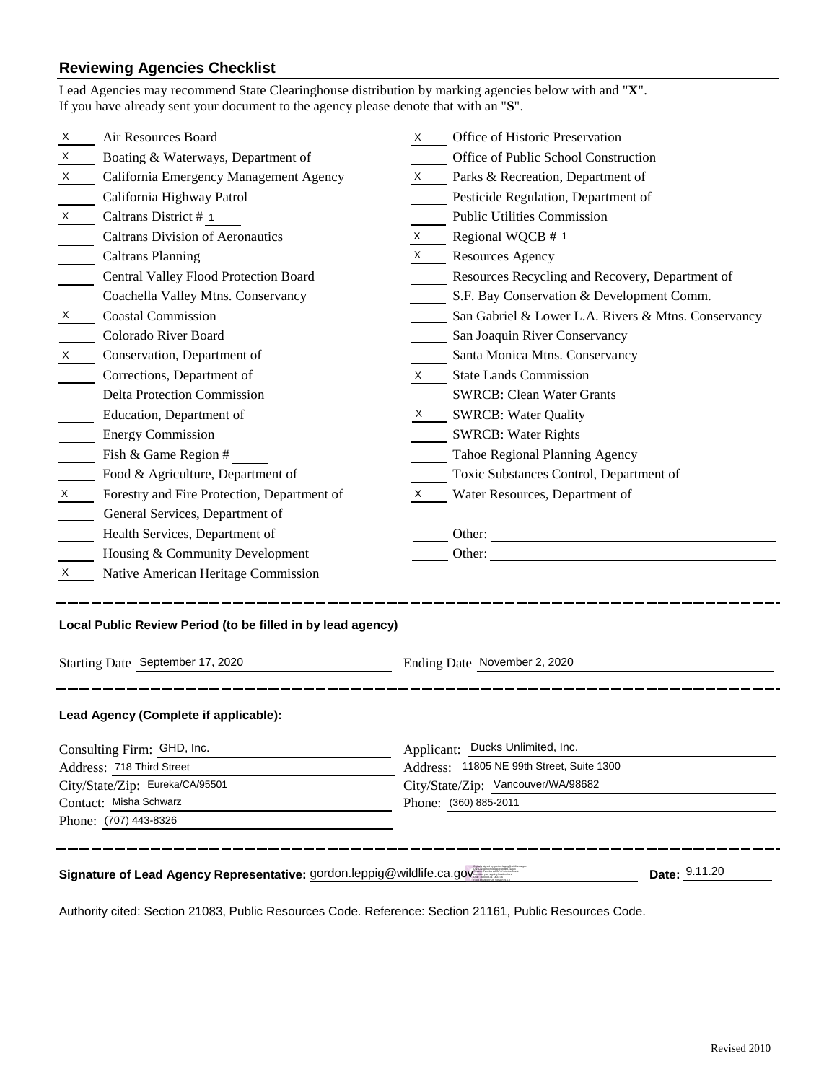## **Reviewing Agencies Checklist**

|                                                                                         | Lead Agencies may recommend State Clearinghouse distribution by marking agencies below with and "X".<br>If you have already sent your document to the agency please denote that with an "S". |                                           |                                                     |  |  |  |
|-----------------------------------------------------------------------------------------|----------------------------------------------------------------------------------------------------------------------------------------------------------------------------------------------|-------------------------------------------|-----------------------------------------------------|--|--|--|
| X.                                                                                      | Air Resources Board                                                                                                                                                                          | X.                                        | Office of Historic Preservation                     |  |  |  |
| X                                                                                       | Boating & Waterways, Department of                                                                                                                                                           |                                           | Office of Public School Construction                |  |  |  |
| X                                                                                       | California Emergency Management Agency                                                                                                                                                       | X                                         | Parks & Recreation, Department of                   |  |  |  |
|                                                                                         | California Highway Patrol                                                                                                                                                                    |                                           | Pesticide Regulation, Department of                 |  |  |  |
| X                                                                                       | Caltrans District # 1                                                                                                                                                                        |                                           | <b>Public Utilities Commission</b>                  |  |  |  |
|                                                                                         | <b>Caltrans Division of Aeronautics</b>                                                                                                                                                      | X.                                        | Regional WQCB # 1                                   |  |  |  |
|                                                                                         | <b>Caltrans Planning</b>                                                                                                                                                                     | $\boldsymbol{\mathsf{X}}$                 | <b>Resources Agency</b>                             |  |  |  |
|                                                                                         | Central Valley Flood Protection Board                                                                                                                                                        |                                           | Resources Recycling and Recovery, Department of     |  |  |  |
|                                                                                         | Coachella Valley Mtns. Conservancy                                                                                                                                                           |                                           | S.F. Bay Conservation & Development Comm.           |  |  |  |
| $\boldsymbol{\mathsf{X}}$                                                               | <b>Coastal Commission</b>                                                                                                                                                                    |                                           | San Gabriel & Lower L.A. Rivers & Mtns. Conservancy |  |  |  |
|                                                                                         | Colorado River Board                                                                                                                                                                         |                                           | San Joaquin River Conservancy                       |  |  |  |
| X                                                                                       | Conservation, Department of                                                                                                                                                                  |                                           | Santa Monica Mtns. Conservancy                      |  |  |  |
|                                                                                         | Corrections, Department of                                                                                                                                                                   | X                                         | <b>State Lands Commission</b>                       |  |  |  |
|                                                                                         | <b>Delta Protection Commission</b>                                                                                                                                                           |                                           | <b>SWRCB: Clean Water Grants</b>                    |  |  |  |
|                                                                                         | Education, Department of                                                                                                                                                                     |                                           | X SWRCB: Water Quality                              |  |  |  |
|                                                                                         | <b>Energy Commission</b>                                                                                                                                                                     |                                           | <b>SWRCB: Water Rights</b>                          |  |  |  |
|                                                                                         | Fish & Game Region #                                                                                                                                                                         |                                           | Tahoe Regional Planning Agency                      |  |  |  |
|                                                                                         | Food & Agriculture, Department of                                                                                                                                                            |                                           | Toxic Substances Control, Department of             |  |  |  |
| X                                                                                       | Forestry and Fire Protection, Department of                                                                                                                                                  | X                                         | Water Resources, Department of                      |  |  |  |
|                                                                                         | General Services, Department of                                                                                                                                                              |                                           |                                                     |  |  |  |
|                                                                                         | Health Services, Department of                                                                                                                                                               |                                           |                                                     |  |  |  |
|                                                                                         | Housing & Community Development                                                                                                                                                              |                                           |                                                     |  |  |  |
| X                                                                                       | Native American Heritage Commission                                                                                                                                                          |                                           |                                                     |  |  |  |
| Local Public Review Period (to be filled in by lead agency)                             |                                                                                                                                                                                              |                                           |                                                     |  |  |  |
| Starting Date September 17, 2020                                                        |                                                                                                                                                                                              | Ending Date November 2, 2020              |                                                     |  |  |  |
|                                                                                         | Lead Agency (Complete if applicable):                                                                                                                                                        |                                           |                                                     |  |  |  |
| Consulting Firm: GHD, Inc.                                                              |                                                                                                                                                                                              | Applicant: Ducks Unlimited, Inc.          |                                                     |  |  |  |
| Address: 718 Third Street                                                               |                                                                                                                                                                                              | Address: 11805 NE 99th Street, Suite 1300 |                                                     |  |  |  |
| City/State/Zip: Eureka/CA/95501                                                         |                                                                                                                                                                                              | City/State/Zip: Vancouver/WA/98682        |                                                     |  |  |  |
| Contact: Misha Schwarz                                                                  |                                                                                                                                                                                              |                                           | Phone: (360) 885-2011                               |  |  |  |
| Phone: (707) 443-8326                                                                   |                                                                                                                                                                                              |                                           |                                                     |  |  |  |
| Date: 9.11.20<br>Signature of Lead Agency Representative: gordon.leppig@wildlife.ca.gov |                                                                                                                                                                                              |                                           |                                                     |  |  |  |

Authority cited: Section 21083, Public Resources Code. Reference: Section 21161, Public Resources Code.